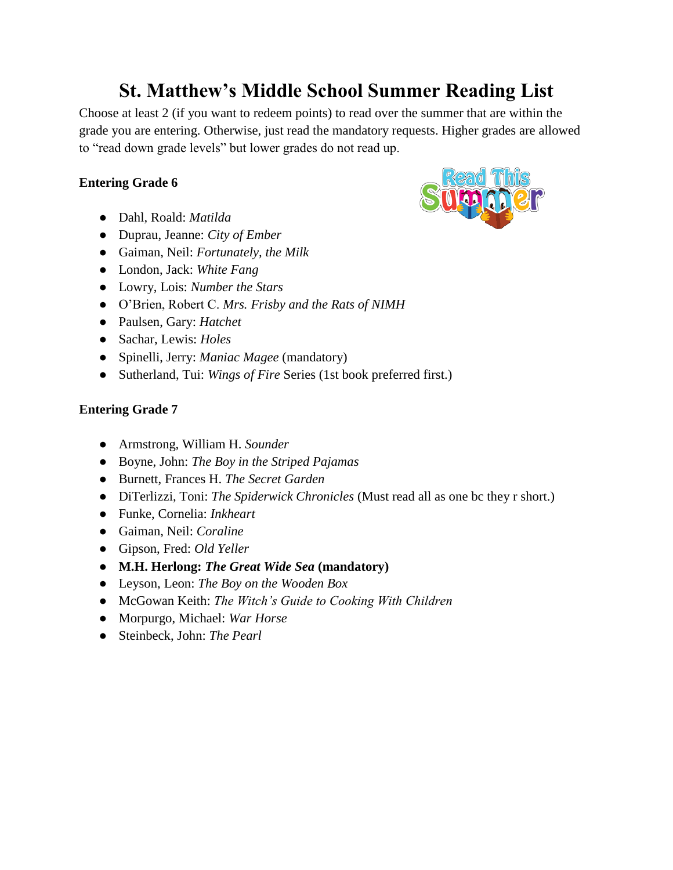# **St. Matthew's Middle School Summer Reading List**

Choose at least 2 (if you want to redeem points) to read over the summer that are within the grade you are entering. Otherwise, just read the mandatory requests. Higher grades are allowed to "read down grade levels" but lower grades do not read up.

## **Entering Grade 6**

- Dahl, Roald: *Matilda*
- Duprau, Jeanne: *City of Ember*
- Gaiman, Neil: *Fortunately, the Milk*
- London, Jack: *White Fang*
- Lowry, Lois: *Number the Stars*
- O'Brien, Robert C. *Mrs. Frisby and the Rats of NIMH*
- Paulsen, Gary: *Hatchet*
- Sachar, Lewis: *Holes*
- Spinelli, Jerry: *Maniac Magee* (mandatory)
- Sutherland, Tui: *Wings of Fire* Series (1st book preferred first.)

### **Entering Grade 7**

- Armstrong, William H. *Sounder*
- Boyne, John: *The Boy in the Striped Pajamas*
- Burnett, Frances H. *The Secret Garden*
- DiTerlizzi, Toni: *The Spiderwick Chronicles* (Must read all as one bc they r short.)
- Funke, Cornelia: *Inkheart*
- Gaiman, Neil: *Coraline*
- Gipson, Fred: *Old Yeller*
- **M.H. Herlong:** *The Great Wide Sea* **(mandatory)**
- Leyson, Leon: *The Boy on the Wooden Box*
- McGowan Keith: *The Witch's Guide to Cooking With Children*
- Morpurgo, Michael: *War Horse*
- Steinbeck, John: *The Pearl*